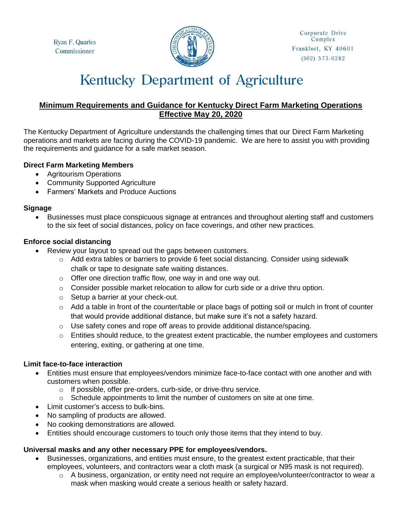Ryan F. Quarles Commissioner



# **Kentucky Department of Agriculture**

# **Minimum Requirements and Guidance for Kentucky Direct Farm Marketing Operations Effective May 20, 2020**

The Kentucky Department of Agriculture understands the challenging times that our Direct Farm Marketing operations and markets are facing during the COVID-19 pandemic. We are here to assist you with providing the requirements and guidance for a safe market season.

## **Direct Farm Marketing Members**

- Agritourism Operations
- Community Supported Agriculture
- Farmers' Markets and Produce Auctions

## **Signage**

 Businesses must place conspicuous signage at entrances and throughout alerting staff and customers to the six feet of social distances, policy on face coverings, and other new practices.

## **Enforce social distancing**

- Review your layout to spread out the gaps between customers.
	- o Add extra tables or barriers to provide 6 feet social distancing. Consider using sidewalk chalk or tape to designate safe waiting distances.
	- o Offer one direction traffic flow, one way in and one way out.
	- $\circ$  Consider possible market relocation to allow for curb side or a drive thru option.
	- o Setup a barrier at your check-out.
	- o Add a table in front of the counter/table or place bags of potting soil or mulch in front of counter that would provide additional distance, but make sure it's not a safety hazard.
	- $\circ$  Use safety cones and rope off areas to provide additional distance/spacing.
	- o Entities should reduce, to the greatest extent practicable, the number employees and customers entering, exiting, or gathering at one time.

#### **Limit face-to-face interaction**

- Entities must ensure that employees/vendors minimize face-to-face contact with one another and with customers when possible.
	- o If possible, offer pre-orders, curb-side, or drive-thru service.
	- $\circ$  Schedule appointments to limit the number of customers on site at one time.
- Limit customer's access to bulk-bins.
- No sampling of products are allowed.
- No cooking demonstrations are allowed.
- Entities should encourage customers to touch only those items that they intend to buy.

## **Universal masks and any other necessary PPE for employees/vendors.**

- Businesses, organizations, and entities must ensure, to the greatest extent practicable, that their employees, volunteers, and contractors wear a cloth mask (a surgical or N95 mask is not required).
	- $\circ$  A business, organization, or entity need not require an employee/volunteer/contractor to wear a mask when masking would create a serious health or safety hazard.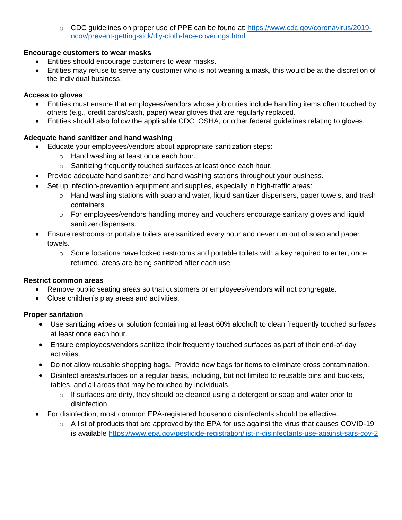o CDC guidelines on proper use of PPE can be found at: [https://www.cdc.gov/coronavirus/2019](https://www.cdc.gov/coronavirus/2019-ncov/prevent-getting-sick/diy-cloth-face-coverings.html) [ncov/prevent-getting-sick/diy-cloth-face-coverings.html](https://www.cdc.gov/coronavirus/2019-ncov/prevent-getting-sick/diy-cloth-face-coverings.html)

## **Encourage customers to wear masks**

- **Entities should encourage customers to wear masks.**
- Entities may refuse to serve any customer who is not wearing a mask, this would be at the discretion of the individual business.

## **Access to gloves**

- Entities must ensure that employees/vendors whose job duties include handling items often touched by others (e.g., credit cards/cash, paper) wear gloves that are regularly replaced.
- Entities should also follow the applicable CDC, OSHA, or other federal guidelines relating to gloves.

# **Adequate hand sanitizer and hand washing**

- Educate your employees/vendors about appropriate sanitization steps:
	- o Hand washing at least once each hour.
	- o Sanitizing frequently touched surfaces at least once each hour.
- Provide adequate hand sanitizer and hand washing stations throughout your business.
- Set up infection-prevention equipment and supplies, especially in high-traffic areas:
	- $\circ$  Hand washing stations with soap and water, liquid sanitizer dispensers, paper towels, and trash containers.
	- $\circ$  For employees/vendors handling money and vouchers encourage sanitary gloves and liquid sanitizer dispensers.
- Ensure restrooms or portable toilets are sanitized every hour and never run out of soap and paper towels.
	- $\circ$  Some locations have locked restrooms and portable toilets with a key required to enter, once returned, areas are being sanitized after each use.

## **Restrict common areas**

- Remove public seating areas so that customers or employees/vendors will not congregate.
- Close children's play areas and activities.

# **Proper sanitation**

- Use sanitizing wipes or solution (containing at least 60% alcohol) to clean frequently touched surfaces at least once each hour.
- Ensure employees/vendors sanitize their frequently touched surfaces as part of their end-of-day activities.
- Do not allow reusable shopping bags. Provide new bags for items to eliminate cross contamination.
- Disinfect areas/surfaces on a regular basis, including, but not limited to reusable bins and buckets, tables, and all areas that may be touched by individuals.
	- $\circ$  If surfaces are dirty, they should be cleaned using a detergent or soap and water prior to disinfection.
- For disinfection, most common EPA-registered household disinfectants should be effective.
	- $\circ$  A list of products that are approved by the EPA for use against the virus that causes COVID-19 is available<https://www.epa.gov/pesticide-registration/list-n-disinfectants-use-against-sars-cov-2>